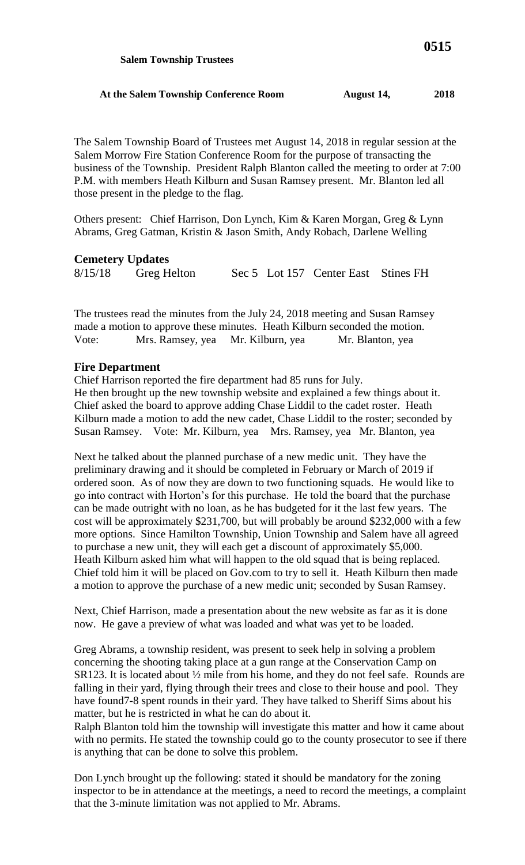The Salem Township Board of Trustees met August 14, 2018 in regular session at the Salem Morrow Fire Station Conference Room for the purpose of transacting the business of the Township. President Ralph Blanton called the meeting to order at 7:00 P.M. with members Heath Kilburn and Susan Ramsey present. Mr. Blanton led all those present in the pledge to the flag.

Others present: Chief Harrison, Don Lynch, Kim & Karen Morgan, Greg & Lynn Abrams, Greg Gatman, Kristin & Jason Smith, Andy Robach, Darlene Welling

## **Cemetery Updates**

| 8/15/18 | Greg Helton |  | Sec 5 Lot 157 Center East Stines FH |  |
|---------|-------------|--|-------------------------------------|--|

The trustees read the minutes from the July 24, 2018 meeting and Susan Ramsey made a motion to approve these minutes. Heath Kilburn seconded the motion. Vote: Mrs. Ramsey, yea Mr. Kilburn, yea Mr. Blanton, yea

## **Fire Department**

Chief Harrison reported the fire department had 85 runs for July. He then brought up the new township website and explained a few things about it. Chief asked the board to approve adding Chase Liddil to the cadet roster. Heath Kilburn made a motion to add the new cadet, Chase Liddil to the roster; seconded by Susan Ramsey. Vote: Mr. Kilburn, yea Mrs. Ramsey, yea Mr. Blanton, yea

Next he talked about the planned purchase of a new medic unit. They have the preliminary drawing and it should be completed in February or March of 2019 if ordered soon. As of now they are down to two functioning squads. He would like to go into contract with Horton's for this purchase. He told the board that the purchase can be made outright with no loan, as he has budgeted for it the last few years. The cost will be approximately \$231,700, but will probably be around \$232,000 with a few more options. Since Hamilton Township, Union Township and Salem have all agreed to purchase a new unit, they will each get a discount of approximately \$5,000. Heath Kilburn asked him what will happen to the old squad that is being replaced. Chief told him it will be placed on Gov.com to try to sell it. Heath Kilburn then made a motion to approve the purchase of a new medic unit; seconded by Susan Ramsey.

Next, Chief Harrison, made a presentation about the new website as far as it is done now. He gave a preview of what was loaded and what was yet to be loaded.

Greg Abrams, a township resident, was present to seek help in solving a problem concerning the shooting taking place at a gun range at the Conservation Camp on SR123. It is located about ½ mile from his home, and they do not feel safe. Rounds are falling in their yard, flying through their trees and close to their house and pool. They have found7-8 spent rounds in their yard. They have talked to Sheriff Sims about his matter, but he is restricted in what he can do about it.

Ralph Blanton told him the township will investigate this matter and how it came about with no permits. He stated the township could go to the county prosecutor to see if there is anything that can be done to solve this problem.

Don Lynch brought up the following: stated it should be mandatory for the zoning inspector to be in attendance at the meetings, a need to record the meetings, a complaint that the 3-minute limitation was not applied to Mr. Abrams.